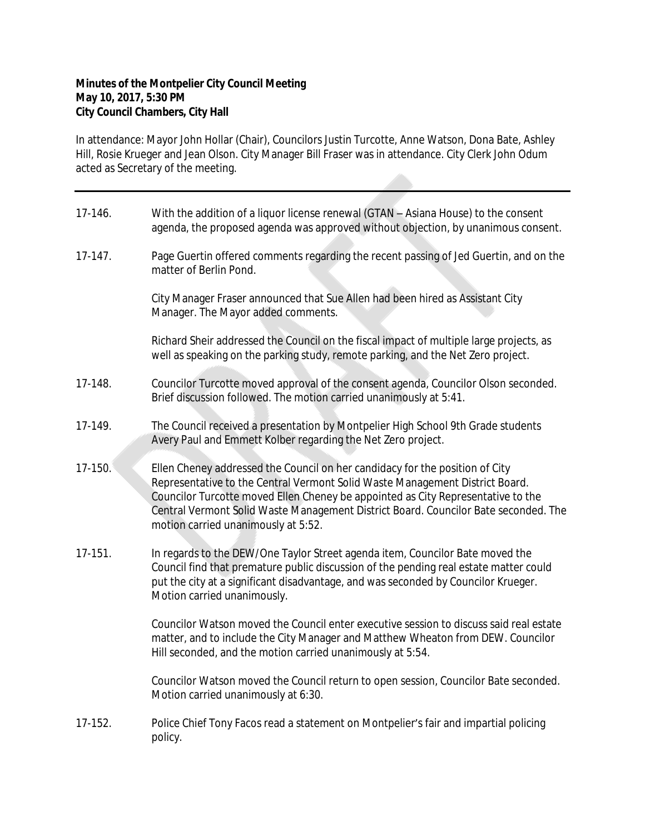## **Minutes of the Montpelier City Council Meeting May 10, 2017, 5:30 PM City Council Chambers, City Hall**

In attendance: Mayor John Hollar (Chair), Councilors Justin Turcotte, Anne Watson, Dona Bate, Ashley Hill, Rosie Krueger and Jean Olson. City Manager Bill Fraser was in attendance. City Clerk John Odum acted as Secretary of the meeting.

| 17-146.   | With the addition of a liquor license renewal (GTAN - Asiana House) to the consent<br>agenda, the proposed agenda was approved without objection, by unanimous consent.                                                                                                                                                                                                        |
|-----------|--------------------------------------------------------------------------------------------------------------------------------------------------------------------------------------------------------------------------------------------------------------------------------------------------------------------------------------------------------------------------------|
| $17-147.$ | Page Guertin offered comments regarding the recent passing of Jed Guertin, and on the<br>matter of Berlin Pond.                                                                                                                                                                                                                                                                |
|           | City Manager Fraser announced that Sue Allen had been hired as Assistant City<br>Manager. The Mayor added comments.                                                                                                                                                                                                                                                            |
|           | Richard Sheir addressed the Council on the fiscal impact of multiple large projects, as<br>well as speaking on the parking study, remote parking, and the Net Zero project.                                                                                                                                                                                                    |
| 17-148.   | Councilor Turcotte moved approval of the consent agenda, Councilor Olson seconded.<br>Brief discussion followed. The motion carried unanimously at 5:41.                                                                                                                                                                                                                       |
| 17-149.   | The Council received a presentation by Montpelier High School 9th Grade students<br>Avery Paul and Emmett Kolber regarding the Net Zero project.                                                                                                                                                                                                                               |
| 17-150.   | Ellen Cheney addressed the Council on her candidacy for the position of City<br>Representative to the Central Vermont Solid Waste Management District Board.<br>Councilor Turcotte moved Ellen Cheney be appointed as City Representative to the<br>Central Vermont Solid Waste Management District Board. Councilor Bate seconded. The<br>motion carried unanimously at 5:52. |
| 17-151.   | In regards to the DEW/One Taylor Street agenda item, Councilor Bate moved the<br>Council find that premature public discussion of the pending real estate matter could<br>put the city at a significant disadvantage, and was seconded by Councilor Krueger.<br>Motion carried unanimously.                                                                                    |
|           | Councilor Watson moved the Council enter executive session to discuss said real estate<br>matter, and to include the City Manager and Matthew Wheaton from DEW. Councilor<br>Hill seconded, and the motion carried unanimously at 5:54.                                                                                                                                        |
|           | Councilor Watson moved the Council return to open session, Councilor Bate seconded.<br>Motion carried unanimously at 6:30.                                                                                                                                                                                                                                                     |
| 17-152.   | Police Chief Tony Facos read a statement on Montpelier's fair and impartial policing<br>policy.                                                                                                                                                                                                                                                                                |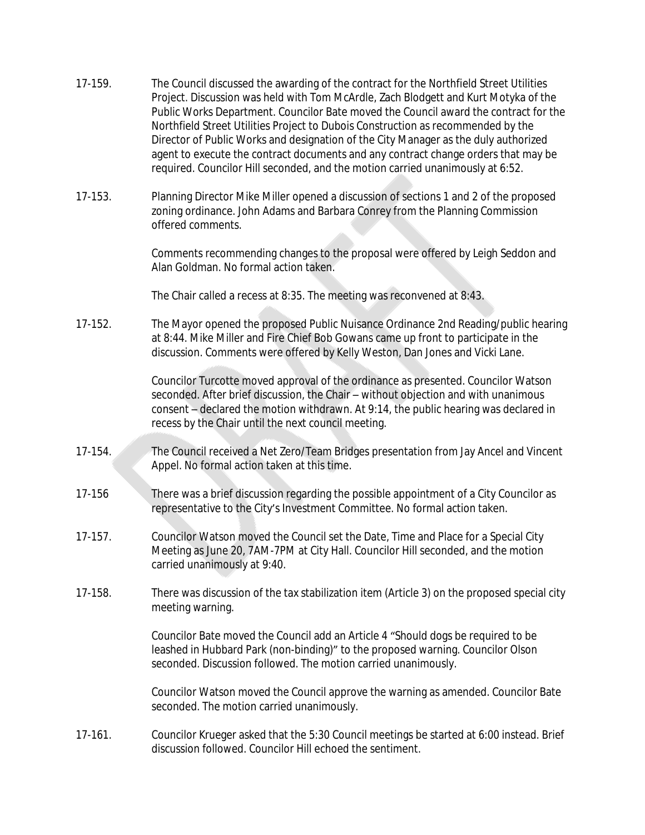- 17-159. The Council discussed the awarding of the contract for the Northfield Street Utilities Project. Discussion was held with Tom McArdle, Zach Blodgett and Kurt Motyka of the Public Works Department. Councilor Bate moved the Council award the contract for the Northfield Street Utilities Project to Dubois Construction as recommended by the Director of Public Works and designation of the City Manager as the duly authorized agent to execute the contract documents and any contract change orders that may be required. Councilor Hill seconded, and the motion carried unanimously at 6:52.
- 17-153. Planning Director Mike Miller opened a discussion of sections 1 and 2 of the proposed zoning ordinance. John Adams and Barbara Conrey from the Planning Commission offered comments.

Comments recommending changes to the proposal were offered by Leigh Seddon and Alan Goldman. No formal action taken.

The Chair called a recess at 8:35. The meeting was reconvened at 8:43.

17-152. The Mayor opened the proposed Public Nuisance Ordinance 2nd Reading/public hearing at 8:44. Mike Miller and Fire Chief Bob Gowans came up front to participate in the discussion. Comments were offered by Kelly Weston, Dan Jones and Vicki Lane.

> Councilor Turcotte moved approval of the ordinance as presented. Councilor Watson seconded. After brief discussion, the Chair – without objection and with unanimous consent – declared the motion withdrawn. At 9:14, the public hearing was declared in recess by the Chair until the next council meeting.

- 17-154. The Council received a Net Zero/Team Bridges presentation from Jay Ancel and Vincent Appel. No formal action taken at this time.
- 17-156 There was a brief discussion regarding the possible appointment of a City Councilor as representative to the City's Investment Committee. No formal action taken.
- 17-157. Councilor Watson moved the Council set the Date, Time and Place for a Special City Meeting as June 20, 7AM-7PM at City Hall. Councilor Hill seconded, and the motion carried unanimously at 9:40.
- 17-158. There was discussion of the tax stabilization item (Article 3) on the proposed special city meeting warning.

Councilor Bate moved the Council add an Article 4 "Should dogs be required to be leashed in Hubbard Park (non-binding)" to the proposed warning. Councilor Olson seconded. Discussion followed. The motion carried unanimously.

Councilor Watson moved the Council approve the warning as amended. Councilor Bate seconded. The motion carried unanimously.

17-161. Councilor Krueger asked that the 5:30 Council meetings be started at 6:00 instead. Brief discussion followed. Councilor Hill echoed the sentiment.